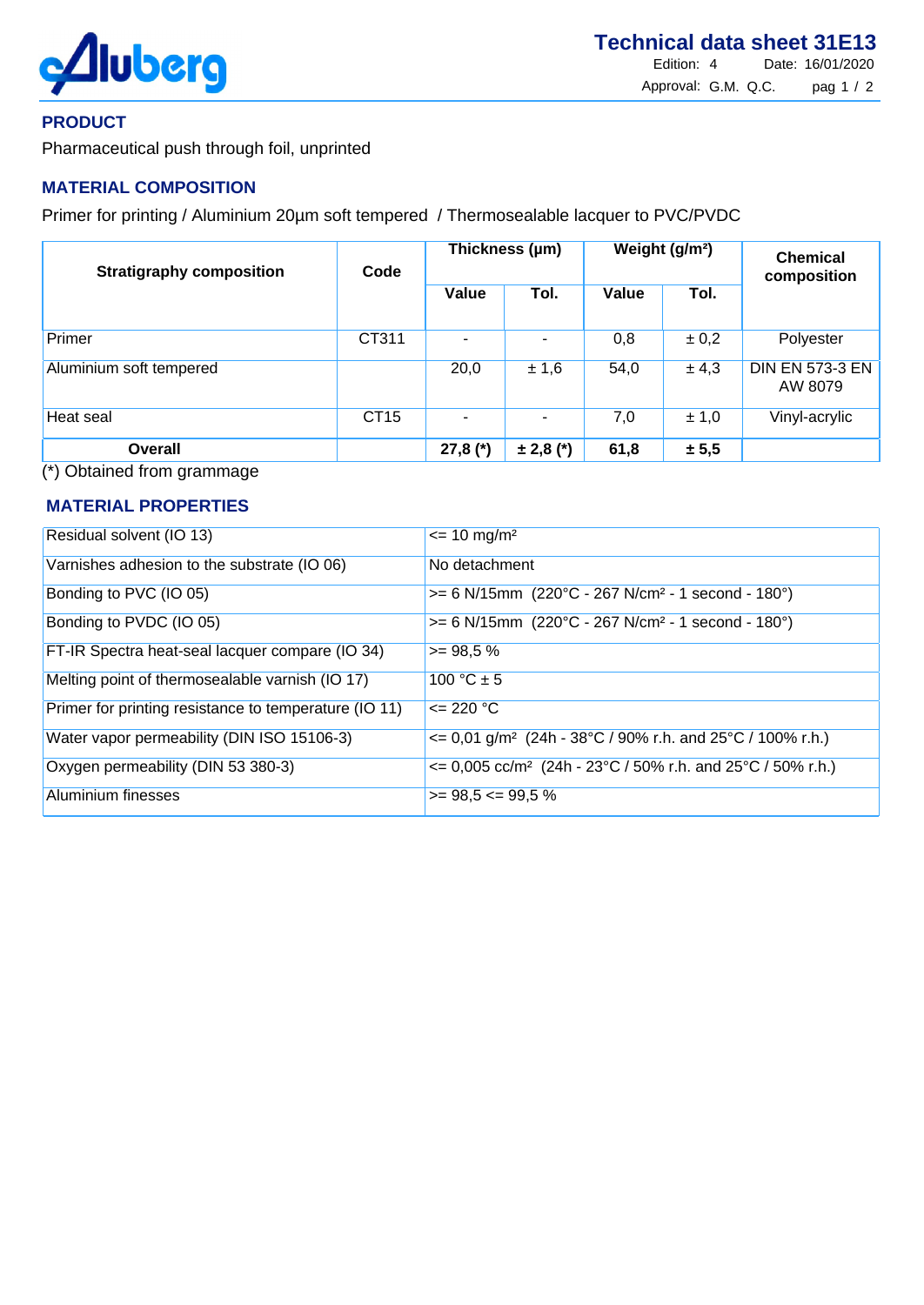

## **PRODUCT**

Pharmaceutical push through foil, unprinted

# **MATERIAL COMPOSITION**

Primer for printing / Aluminium 20um soft tempered / Thermosealable lacquer to PVC/PVDC

| <b>Stratigraphy composition</b> | Code        | Thickness (µm) |               | Weight (g/m <sup>2</sup> ) |           | <b>Chemical</b><br>composition    |
|---------------------------------|-------------|----------------|---------------|----------------------------|-----------|-----------------------------------|
|                                 |             | Value          | Tol.          | Value                      | Tol.      |                                   |
| Primer                          | CT311       |                |               | 0,8                        | $\pm 0.2$ | Polyester                         |
| Aluminium soft tempered         |             | 20,0           | ± 1,6         | 54,0                       | ± 4,3     | <b>DIN EN 573-3 EN</b><br>AW 8079 |
| Heat seal                       | <b>CT15</b> |                |               | 7,0                        | ± 1,0     | Vinyl-acrylic                     |
| <b>Overall</b>                  |             | $27,8 (*)$     | $\pm 2,8$ (*) | 61,8                       | ± 5,5     |                                   |

(\*) Obtained from grammage

### **MATERIAL PROPERTIES**

| Residual solvent (IO 13)                              | $\epsilon$ = 10 mg/m <sup>2</sup>                                                |
|-------------------------------------------------------|----------------------------------------------------------------------------------|
| Varnishes adhesion to the substrate (IO 06)           | No detachment                                                                    |
| Bonding to PVC (IO 05)                                | $>= 6$ N/15mm (220°C - 267 N/cm <sup>2</sup> - 1 second - 180°)                  |
| Bonding to PVDC (IO 05)                               | $>= 6$ N/15mm (220°C - 267 N/cm <sup>2</sup> - 1 second - 180°)                  |
| FT-IR Spectra heat-seal lacquer compare (IO 34)       | $>= 98.5 %$                                                                      |
| Melting point of thermosealable varnish (IO 17)       | 100 °C $\pm$ 5                                                                   |
| Primer for printing resistance to temperature (IO 11) | $\leq$ 220 °C                                                                    |
| Water vapor permeability (DIN ISO 15106-3)            | $\epsilon$ = 0,01 g/m <sup>2</sup> (24h - 38°C / 90% r.h. and 25°C / 100% r.h.)  |
| Oxygen permeability (DIN 53 380-3)                    | $\epsilon$ = 0,005 cc/m <sup>2</sup> (24h - 23°C / 50% r.h. and 25°C / 50% r.h.) |
| Aluminium finesses                                    | $\ge$ 98,5 <= 99,5 %                                                             |